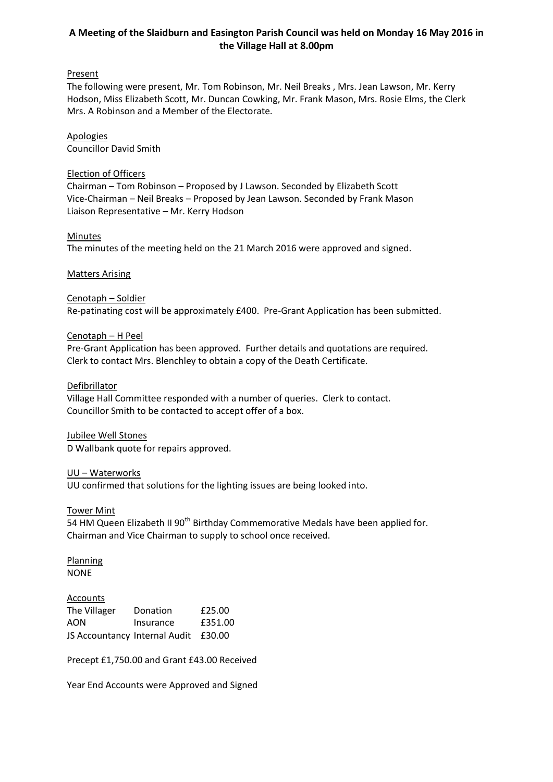# **A Meeting of the Slaidburn and Easington Parish Council was held on Monday 16 May 2016 in the Village Hall at 8.00pm**

# **Present**

The following were present, Mr. Tom Robinson, Mr. Neil Breaks , Mrs. Jean Lawson, Mr. Kerry Hodson, Miss Elizabeth Scott, Mr. Duncan Cowking, Mr. Frank Mason, Mrs. Rosie Elms, the Clerk Mrs. A Robinson and a Member of the Electorate.

## Apologies Councillor David Smith

## Election of Officers

Chairman – Tom Robinson – Proposed by J Lawson. Seconded by Elizabeth Scott Vice-Chairman – Neil Breaks – Proposed by Jean Lawson. Seconded by Frank Mason Liaison Representative – Mr. Kerry Hodson

### **Minutes**

The minutes of the meeting held on the 21 March 2016 were approved and signed.

### Matters Arising

## Cenotaph – Soldier

Re-patinating cost will be approximately £400. Pre-Grant Application has been submitted.

## Cenotaph – H Peel

Pre-Grant Application has been approved. Further details and quotations are required. Clerk to contact Mrs. Blenchley to obtain a copy of the Death Certificate.

### Defibrillator

Village Hall Committee responded with a number of queries. Clerk to contact. Councillor Smith to be contacted to accept offer of a box.

### Jubilee Well Stones

D Wallbank quote for repairs approved.

### UU – Waterworks

UU confirmed that solutions for the lighting issues are being looked into.

### Tower Mint

54 HM Queen Elizabeth II 90<sup>th</sup> Birthday Commemorative Medals have been applied for. Chairman and Vice Chairman to supply to school once received.

**Planning** NONE

### Accounts

| The Villager                         | Donation  | £25.00  |
|--------------------------------------|-----------|---------|
| AON                                  | Insurance | £351.00 |
| JS Accountancy Internal Audit £30.00 |           |         |

Precept £1,750.00 and Grant £43.00 Received

Year End Accounts were Approved and Signed